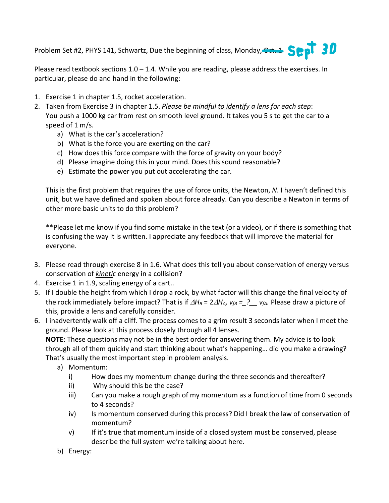Problem Set #2, PHYS 141, Schwartz, Due the beginning of class, Monday, Cat. 1 September 20

Please read textbook sections  $1.0 - 1.4$ . While you are reading, please address the exercises. In particular, please do and hand in the following:

- 1. Exercise 1 in chapter 1.5, rocket acceleration.
- 2. Taken from Exercise 3 in chapter 1.5. *Please be mindful to identify a lens for each step*: You push a 1000 kg car from rest on smooth level ground. It takes you 5 s to get the car to a speed of 1 m/s.
	- a) What is the car's acceleration?
	- b) What is the force you are exerting on the car?
	- c) How does this force compare with the force of gravity on your body?
	- d) Please imagine doing this in your mind. Does this sound reasonable?
	- e) Estimate the power you put out accelerating the car.

This is the first problem that requires the use of force units, the Newton, *N*. I haven't defined this unit, but we have defined and spoken about force already. Can you describe a Newton in terms of other more basic units to do this problem?

\*\*Please let me know if you find some mistake in the text (or a video), or if there is something that is confusing the way it is written. I appreciate any feedback that will improve the material for everyone.

- 3. Please read through exercise 8 in 1.6. What does this tell you about conservation of energy versus conservation of *kinetic* energy in a collision?
- 4. Exercise 1 in 1.9, scaling energy of a cart..
- 5. If I double the height from which I drop a rock, by what factor will this change the final velocity of the rock immediately before impact? That is if  $\Delta H_B = 2\Delta H_A$ ,  $v_{fB} = ?$   $v_{fA}$ . Please draw a picture of this, provide a lens and carefully consider.
- 6. I inadvertently walk off a cliff. The process comes to a grim result 3 seconds later when I meet the ground. Please look at this process closely through all 4 lenses.

**NOTE**: These questions may not be in the best order for answering them. My advice is to look through all of them quickly and start thinking about what's happening… did you make a drawing? That's usually the most important step in problem analysis.

- a) Momentum:
	- i) How does my momentum change during the three seconds and thereafter?
	- ii) Why should this be the case?
	- iii) Can you make a rough graph of my momentum as a function of time from 0 seconds to 4 seconds?
	- iv) Is momentum conserved during this process? Did I break the law of conservation of momentum?
	- v) If it's true that momentum inside of a closed system must be conserved, please describe the full system we're talking about here.
- b) Energy: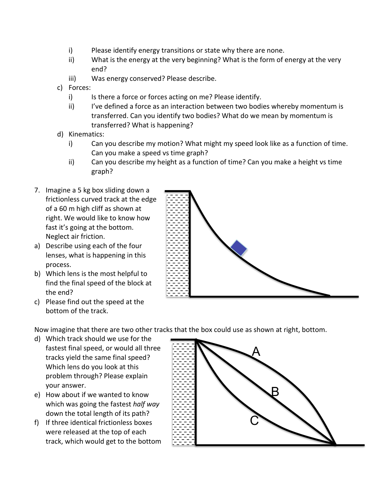- i) Please identify energy transitions or state why there are none.
- ii) What is the energy at the very beginning? What is the form of energy at the very end?
- iii) Was energy conserved? Please describe.
- c) Forces:
	- i) Is there a force or forces acting on me? Please identify.
	- ii) I've defined a force as an interaction between two bodies whereby momentum is transferred. Can you identify two bodies? What do we mean by momentum is transferred? What is happening?
- d) Kinematics:
	- i) Can you describe my motion? What might my speed look like as a function of time. Can you make a speed vs time graph?
	- ii) Can you describe my height as a function of time? Can you make a height vs time graph?
- 7. Imagine a 5 kg box sliding down a frictionless curved track at the edge of a 60 m high cliff as shown at right. We would like to know how fast it's going at the bottom. Neglect air friction.
- a) Describe using each of the four lenses, what is happening in this process.
- b) Which lens is the most helpful to find the final speed of the block at the end?
- c) Please find out the speed at the bottom of the track.

Now imagine that there are two other tracks that the box could use as shown at right, bottom.

- d) Which track should we use for the fastest final speed, or would all three tracks yield the same final speed? Which lens do you look at this problem through? Please explain your answer.
- e) How about if we wanted to know which was going the fastest *half way* down the total length of its path?
- f) If three identical frictionless boxes were released at the top of each track, which would get to the bottom